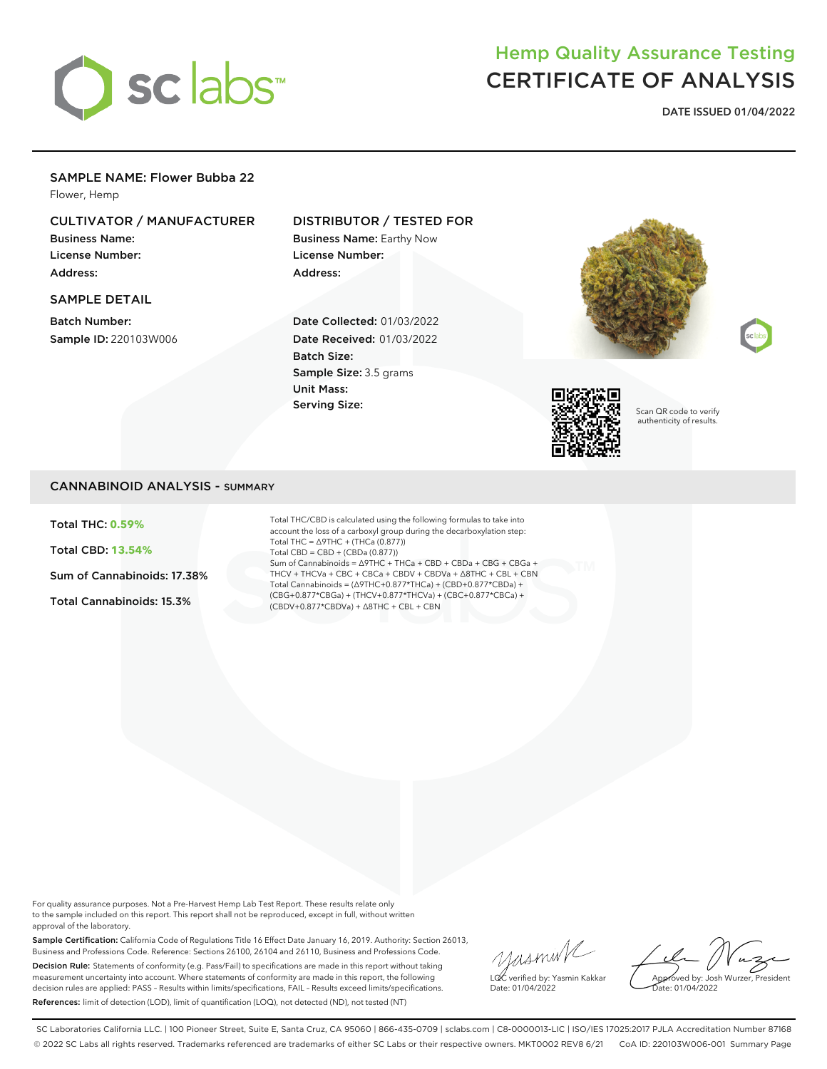

# Hemp Quality Assurance Testing CERTIFICATE OF ANALYSIS

**DATE ISSUED 01/04/2022**

### SAMPLE NAME: Flower Bubba 22

Flower, Hemp

# CULTIVATOR / MANUFACTURER

Business Name: License Number: Address:

### SAMPLE DETAIL

Batch Number: Sample ID: 220103W006

## DISTRIBUTOR / TESTED FOR

Business Name: Earthy Now License Number: Address:

Date Collected: 01/03/2022 Date Received: 01/03/2022 Batch Size: Sample Size: 3.5 grams Unit Mass: Serving Size:







Scan QR code to verify authenticity of results.

### CANNABINOID ANALYSIS - SUMMARY

Total THC: **0.59%**

Total CBD: **13.54%**

Sum of Cannabinoids: 17.38%

Total Cannabinoids: 15.3%

Total THC/CBD is calculated using the following formulas to take into account the loss of a carboxyl group during the decarboxylation step: Total THC = ∆9THC + (THCa (0.877)) Total CBD = CBD + (CBDa (0.877)) Sum of Cannabinoids = ∆9THC + THCa + CBD + CBDa + CBG + CBGa + THCV + THCVa + CBC + CBCa + CBDV + CBDVa + ∆8THC + CBL + CBN Total Cannabinoids = (∆9THC+0.877\*THCa) + (CBD+0.877\*CBDa) + (CBG+0.877\*CBGa) + (THCV+0.877\*THCVa) + (CBC+0.877\*CBCa) + (CBDV+0.877\*CBDVa) + ∆8THC + CBL + CBN

For quality assurance purposes. Not a Pre-Harvest Hemp Lab Test Report. These results relate only to the sample included on this report. This report shall not be reproduced, except in full, without written approval of the laboratory.

Sample Certification: California Code of Regulations Title 16 Effect Date January 16, 2019. Authority: Section 26013, Business and Professions Code. Reference: Sections 26100, 26104 and 26110, Business and Professions Code. Decision Rule: Statements of conformity (e.g. Pass/Fail) to specifications are made in this report without taking measurement uncertainty into account. Where statements of conformity are made in this report, the following decision rules are applied: PASS – Results within limits/specifications, FAIL – Results exceed limits/specifications. References: limit of detection (LOD), limit of quantification (LOQ), not detected (ND), not tested (NT)

yusmink LQC verified by: Yasmin Kakkar Date: 01/04/2022

Approved by: Josh Wurzer, President Date: 01/04/2022

SC Laboratories California LLC. | 100 Pioneer Street, Suite E, Santa Cruz, CA 95060 | 866-435-0709 | sclabs.com | C8-0000013-LIC | ISO/IES 17025:2017 PJLA Accreditation Number 87168 © 2022 SC Labs all rights reserved. Trademarks referenced are trademarks of either SC Labs or their respective owners. MKT0002 REV8 6/21 CoA ID: 220103W006-001 Summary Page